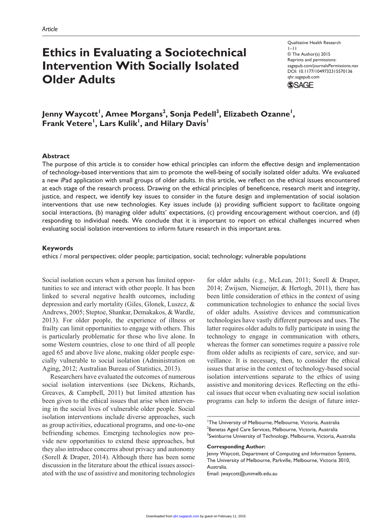# **Ethics in Evaluating a Sociotechnical Intervention With Socially Isolated Older Adults**

Qualitative Health Research  $1 - 11$ © The Author(s) 2015 Reprints and permissions: sagepub.com/journalsPermissions.nav DOI: 10.1177/1049732315570136 qhr.sagepub.com



Jenny Waycott<sup>!</sup>, Amee Morgans<sup>2</sup>, Sonja Pedell<sup>3</sup>, Elizabeth Ozanne<sup>!</sup>, **Frank Vetere<sup>1</sup> , Lars Kulik1 , and Hilary Davis1**

### **Abstract**

The purpose of this article is to consider how ethical principles can inform the effective design and implementation of technology-based interventions that aim to promote the well-being of socially isolated older adults. We evaluated a new iPad application with small groups of older adults. In this article, we reflect on the ethical issues encountered at each stage of the research process. Drawing on the ethical principles of beneficence, research merit and integrity, justice, and respect, we identify key issues to consider in the future design and implementation of social isolation interventions that use new technologies. Key issues include (a) providing sufficient support to facilitate ongoing social interactions, (b) managing older adults' expectations, (c) providing encouragement without coercion, and (d) responding to individual needs. We conclude that it is important to report on ethical challenges incurred when evaluating social isolation interventions to inform future research in this important area.

### **Keywords**

ethics / moral perspectives; older people; participation, social; technology; vulnerable populations

Social isolation occurs when a person has limited opportunities to see and interact with other people. It has been linked to several negative health outcomes, including depression and early mortality (Giles, Glonek, Luszcz, & Andrews, 2005; Steptoe, Shankar, Demakakos, & Wardle, 2013). For older people, the experience of illness or frailty can limit opportunities to engage with others. This is particularly problematic for those who live alone. In some Western countries, close to one third of all people aged 65 and above live alone, making older people especially vulnerable to social isolation (Administration on Aging, 2012; Australian Bureau of Statistics, 2013).

Researchers have evaluated the outcomes of numerous social isolation interventions (see Dickens, Richards, Greaves, & Campbell, 2011) but limited attention has been given to the ethical issues that arise when intervening in the social lives of vulnerable older people. Social isolation interventions include diverse approaches, such as group activities, educational programs, and one-to-one befriending schemes. Emerging technologies now provide new opportunities to extend these approaches, but they also introduce concerns about privacy and autonomy (Sorell & Draper, 2014). Although there has been some discussion in the literature about the ethical issues associated with the use of assistive and monitoring technologies for older adults (e.g., McLean, 2011; Sorell & Draper, 2014; Zwijsen, Niemeijer, & Hertogh, 2011), there has been little consideration of ethics in the context of using communication technologies to enhance the social lives of older adults. Assistive devices and communication technologies have vastly different purposes and uses. The latter requires older adults to fully participate in using the technology to engage in communication with others, whereas the former can sometimes require a passive role from older adults as recipients of care, service, and surveillance. It is necessary, then, to consider the ethical issues that arise in the context of technology-based social isolation interventions separate to the ethics of using assistive and monitoring devices. Reflecting on the ethical issues that occur when evaluating new social isolation programs can help to inform the design of future inter-

**Corresponding Author:**

Email: [jwaycott@unimelb.edu.au](mailto:jwaycott@unimelb.edu.au)

<sup>&</sup>lt;sup>1</sup>The University of Melbourne, Melbourne, Victoria, Australia <sup>2</sup>Benetas Aged Care Services, Melbourne, Victoria, Australia <sup>3</sup>Swinburne University of Technology, Melbourne, Victoria, Australia

Jenny Waycott, Department of Computing and Information Systems, The University of Melbourne, Parkville, Melbourne, Victoria 3010, Australia.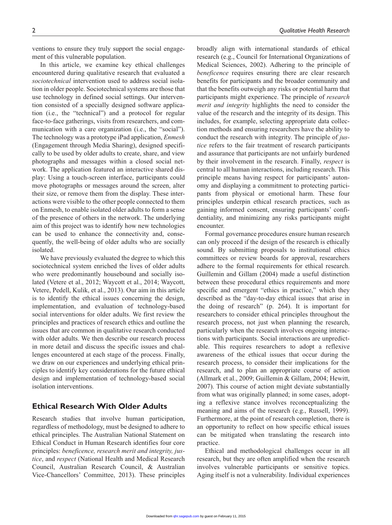ventions to ensure they truly support the social engagement of this vulnerable population.

In this article, we examine key ethical challenges encountered during qualitative research that evaluated a *sociotechnical* intervention used to address social isolation in older people. Sociotechnical systems are those that use technology in defined social settings. Our intervention consisted of a specially designed software application (i.e., the "technical") and a protocol for regular face-to-face gatherings, visits from researchers, and communication with a care organization (i.e., the "social"). The technology was a prototype iPad application, *Enmesh* (Engagement through Media Sharing), designed specifically to be used by older adults to create, share, and view photographs and messages within a closed social network. The application featured an interactive shared display: Using a touch-screen interface, participants could move photographs or messages around the screen, alter their size, or remove them from the display. These interactions were visible to the other people connected to them on Enmesh, to enable isolated older adults to form a sense of the presence of others in the network. The underlying aim of this project was to identify how new technologies can be used to enhance the connectivity and, consequently, the well-being of older adults who are socially isolated.

We have previously evaluated the degree to which this sociotechnical system enriched the lives of older adults who were predominantly housebound and socially isolated (Vetere et al., 2012; Waycott et al., 2014; Waycott, Vetere, Pedell, Kulik, et al., 2013). Our aim in this article is to identify the ethical issues concerning the design, implementation, and evaluation of technology-based social interventions for older adults. We first review the principles and practices of research ethics and outline the issues that are common in qualitative research conducted with older adults. We then describe our research process in more detail and discuss the specific issues and challenges encountered at each stage of the process. Finally, we draw on our experiences and underlying ethical principles to identify key considerations for the future ethical design and implementation of technology-based social isolation interventions.

# **Ethical Research With Older Adults**

Research studies that involve human participation, regardless of methodology, must be designed to adhere to ethical principles. The Australian National Statement on Ethical Conduct in Human Research identifies four core principles: *beneficence, research merit and integrity, justice*, and *respect* (National Health and Medical Research Council, Australian Research Council, & Australian Vice-Chancellors' Committee, 2013). These principles

broadly align with international standards of ethical research (e.g., Council for International Organizations of Medical Sciences, 2002). Adhering to the principle of *beneficence* requires ensuring there are clear research benefits for participants and the broader community and that the benefits outweigh any risks or potential harm that participants might experience. The principle of *research merit and integrity* highlights the need to consider the value of the research and the integrity of its design. This includes, for example, selecting appropriate data collection methods and ensuring researchers have the ability to conduct the research with integrity. The principle of *justice* refers to the fair treatment of research participants and assurance that participants are not unfairly burdened by their involvement in the research. Finally, *respect* is central to all human interactions, including research. This principle means having respect for participants' autonomy and displaying a commitment to protecting participants from physical or emotional harm. These four principles underpin ethical research practices, such as gaining informed consent, ensuring participants' confidentiality, and minimizing any risks participants might encounter.

Formal governance procedures ensure human research can only proceed if the design of the research is ethically sound. By submitting proposals to institutional ethics committees or review boards for approval, researchers adhere to the formal requirements for ethical research. Guillemin and Gillam (2004) made a useful distinction between these procedural ethics requirements and more specific and emergent "ethics in practice," which they described as the "day-to-day ethical issues that arise in the doing of research" (p. 264). It is important for researchers to consider ethical principles throughout the research process, not just when planning the research, particularly when the research involves ongoing interactions with participants. Social interactions are unpredictable. This requires researchers to adopt a reflexive awareness of the ethical issues that occur during the research process, to consider their implications for the research, and to plan an appropriate course of action (Allmark et al., 2009; Guillemin & Gillam, 2004; Hewitt, 2007). This course of action might deviate substantially from what was originally planned; in some cases, adopting a reflexive stance involves reconceptualizing the meaning and aims of the research (e.g., Russell, 1999). Furthermore, at the point of research completion, there is an opportunity to reflect on how specific ethical issues can be mitigated when translating the research into practice.

Ethical and methodological challenges occur in all research, but they are often amplified when the research involves vulnerable participants or sensitive topics. Aging itself is not a vulnerability. Individual experiences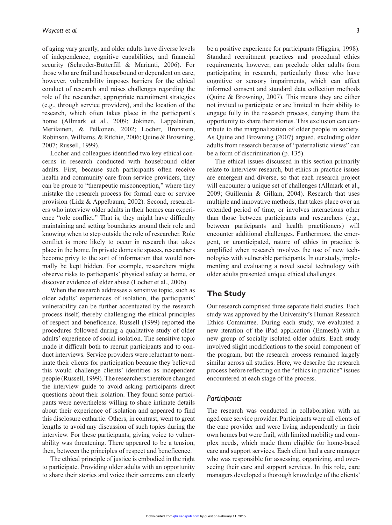of aging vary greatly, and older adults have diverse levels of independence, cognitive capabilities, and financial security (Schroder-Butterfill & Marianti, 2006). For those who are frail and housebound or dependent on care, however, vulnerability imposes barriers for the ethical conduct of research and raises challenges regarding the role of the researcher, appropriate recruitment strategies (e.g., through service providers), and the location of the research, which often takes place in the participant's home (Allmark et al., 2009; Jokinen, Lappalainen, Merilainen, & Pelkonen, 2002; Locher, Bronstein, Robinson, Williams, & Ritchie, 2006; Quine & Browning, 2007; Russell, 1999).

Locher and colleagues identified two key ethical concerns in research conducted with housebound older adults. First, because such participants often receive health and community care from service providers, they can be prone to "therapeutic misconception," where they mistake the research process for formal care or service provision (Lidz & Appelbaum, 2002). Second, researchers who interview older adults in their homes can experience "role conflict." That is, they might have difficulty maintaining and setting boundaries around their role and knowing when to step outside the role of researcher. Role conflict is more likely to occur in research that takes place in the home. In private domestic spaces, researchers become privy to the sort of information that would normally be kept hidden. For example, researchers might observe risks to participants' physical safety at home, or discover evidence of elder abuse (Locher et al., 2006).

When the research addresses a sensitive topic, such as older adults' experiences of isolation, the participants' vulnerability can be further accentuated by the research process itself, thereby challenging the ethical principles of respect and beneficence. Russell (1999) reported the procedures followed during a qualitative study of older adults' experience of social isolation. The sensitive topic made it difficult both to recruit participants and to conduct interviews. Service providers were reluctant to nominate their clients for participation because they believed this would challenge clients' identities as independent people (Russell, 1999). The researchers therefore changed the interview guide to avoid asking participants direct questions about their isolation. They found some participants were nevertheless willing to share intimate details about their experience of isolation and appeared to find this disclosure cathartic. Others, in contrast, went to great lengths to avoid any discussion of such topics during the interview. For these participants, giving voice to vulnerability was threatening. There appeared to be a tension, then, between the principles of respect and beneficence.

The ethical principle of justice is embodied in the right to participate. Providing older adults with an opportunity to share their stories and voice their concerns can clearly

be a positive experience for participants (Higgins, 1998). Standard recruitment practices and procedural ethics requirements, however, can preclude older adults from participating in research, particularly those who have cognitive or sensory impairments, which can affect informed consent and standard data collection methods (Quine & Browning, 2007). This means they are either not invited to participate or are limited in their ability to engage fully in the research process, denying them the opportunity to share their stories. This exclusion can contribute to the marginalization of older people in society. As Quine and Browning (2007) argued, excluding older adults from research because of "paternalistic views" can be a form of discrimination (p. 135).

The ethical issues discussed in this section primarily relate to interview research, but ethics in practice issues are emergent and diverse, so that each research project will encounter a unique set of challenges (Allmark et al., 2009; Guillemin & Gillam, 2004). Research that uses multiple and innovative methods, that takes place over an extended period of time, or involves interactions other than those between participants and researchers (e.g., between participants and health practitioners) will encounter additional challenges. Furthermore, the emergent, or unanticipated, nature of ethics in practice is amplified when research involves the use of new technologies with vulnerable participants. In our study, implementing and evaluating a novel social technology with older adults presented unique ethical challenges.

# **The Study**

Our research comprised three separate field studies. Each study was approved by the University's Human Research Ethics Committee. During each study, we evaluated a new iteration of the iPad application (Enmesh) with a new group of socially isolated older adults. Each study involved slight modifications to the social component of the program, but the research process remained largely similar across all studies. Here, we describe the research process before reflecting on the "ethics in practice" issues encountered at each stage of the process.

### *Participants*

The research was conducted in collaboration with an aged care service provider. Participants were all clients of the care provider and were living independently in their own homes but were frail, with limited mobility and complex needs, which made them eligible for home-based care and support services. Each client had a care manager who was responsible for assessing, organizing, and overseeing their care and support services. In this role, care managers developed a thorough knowledge of the clients'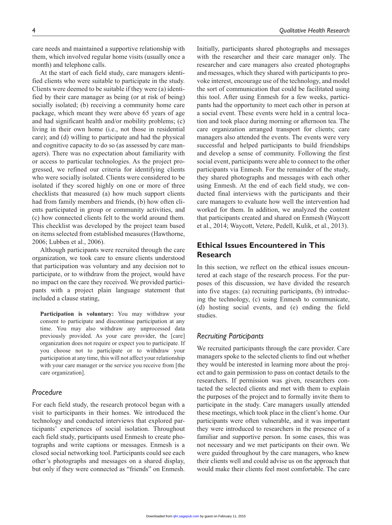care needs and maintained a supportive relationship with them, which involved regular home visits (usually once a month) and telephone calls.

At the start of each field study, care managers identified clients who were suitable to participate in the study. Clients were deemed to be suitable if they were (a) identified by their care manager as being (or at risk of being) socially isolated; (b) receiving a community home care package, which meant they were above 65 years of age and had significant health and/or mobility problems; (c) living in their own home (i.e., not those in residential care); and (d) willing to participate and had the physical and cognitive capacity to do so (as assessed by care managers). There was no expectation about familiarity with or access to particular technologies. As the project progressed, we refined our criteria for identifying clients who were socially isolated. Clients were considered to be isolated if they scored highly on one or more of three checklists that measured (a) how much support clients had from family members and friends, (b) how often clients participated in group or community activities, and (c) how connected clients felt to the world around them. This checklist was developed by the project team based on items selected from established measures (Hawthorne, 2006; Lubben et al., 2006).

Although participants were recruited through the care organization, we took care to ensure clients understood that participation was voluntary and any decision not to participate, or to withdraw from the project, would have no impact on the care they received. We provided participants with a project plain language statement that included a clause stating,

**Participation is voluntary:** You may withdraw your consent to participate and discontinue participation at any time. You may also withdraw any unprocessed data previously provided. As your care provider, the [care] organization does not require or expect you to participate. If you choose not to participate or to withdraw your participation at any time, this will not affect your relationship with your care manager or the service you receive from [the care organization].

### *Procedure*

For each field study, the research protocol began with a visit to participants in their homes. We introduced the technology and conducted interviews that explored participants' experiences of social isolation. Throughout each field study, participants used Enmesh to create photographs and write captions or messages. Enmesh is a closed social networking tool. Participants could see each other's photographs and messages on a shared display, but only if they were connected as "friends" on Enmesh. Initially, participants shared photographs and messages with the researcher and their care manager only. The researcher and care managers also created photographs and messages, which they shared with participants to provoke interest, encourage use of the technology, and model the sort of communication that could be facilitated using this tool. After using Enmesh for a few weeks, participants had the opportunity to meet each other in person at a social event. These events were held in a central location and took place during morning or afternoon tea. The care organization arranged transport for clients; care managers also attended the events. The events were very successful and helped participants to build friendships and develop a sense of community. Following the first social event, participants were able to connect to the other participants via Enmesh. For the remainder of the study, they shared photographs and messages with each other using Enmesh. At the end of each field study, we conducted final interviews with the participants and their care managers to evaluate how well the intervention had worked for them. In addition, we analyzed the content that participants created and shared on Enmesh (Waycott et al., 2014; Waycott, Vetere, Pedell, Kulik, et al., 2013).

# **Ethical Issues Encountered in This Research**

In this section, we reflect on the ethical issues encountered at each stage of the research process. For the purposes of this discussion, we have divided the research into five stages: (a) recruiting participants, (b) introducing the technology, (c) using Enmesh to communicate, (d) hosting social events, and (e) ending the field studies.

### *Recruiting Participants*

We recruited participants through the care provider. Care managers spoke to the selected clients to find out whether they would be interested in learning more about the project and to gain permission to pass on contact details to the researchers. If permission was given, researchers contacted the selected clients and met with them to explain the purposes of the project and to formally invite them to participate in the study. Care managers usually attended these meetings, which took place in the client's home. Our participants were often vulnerable, and it was important they were introduced to researchers in the presence of a familiar and supportive person. In some cases, this was not necessary and we met participants on their own. We were guided throughout by the care managers, who knew their clients well and could advise us on the approach that would make their clients feel most comfortable. The care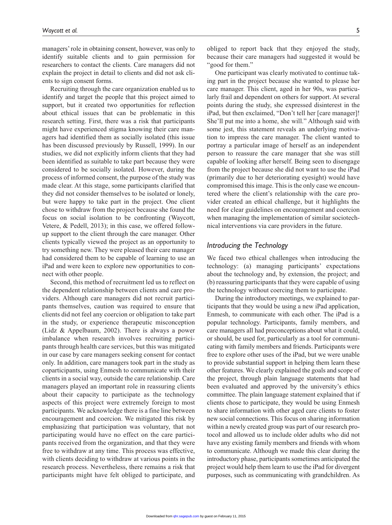managers' role in obtaining consent, however, was only to identify suitable clients and to gain permission for researchers to contact the clients. Care managers did not explain the project in detail to clients and did not ask clients to sign consent forms.

Recruiting through the care organization enabled us to identify and target the people that this project aimed to support, but it created two opportunities for reflection about ethical issues that can be problematic in this research setting. First, there was a risk that participants might have experienced stigma knowing their care managers had identified them as socially isolated (this issue has been discussed previously by Russell, 1999). In our studies, we did not explicitly inform clients that they had been identified as suitable to take part because they were considered to be socially isolated. However, during the process of informed consent, the purpose of the study was made clear. At this stage, some participants clarified that they did not consider themselves to be isolated or lonely, but were happy to take part in the project. One client chose to withdraw from the project because she found the focus on social isolation to be confronting (Waycott, Vetere, & Pedell, 2013); in this case, we offered followup support to the client through the care manager. Other clients typically viewed the project as an opportunity to try something new. They were pleased their care manager had considered them to be capable of learning to use an iPad and were keen to explore new opportunities to connect with other people.

Second, this method of recruitment led us to reflect on the dependent relationship between clients and care providers. Although care managers did not recruit participants themselves, caution was required to ensure that clients did not feel any coercion or obligation to take part in the study, or experience therapeutic misconception (Lidz & Appelbaum, 2002). There is always a power imbalance when research involves recruiting participants through health care services, but this was mitigated in our case by care managers seeking consent for contact only. In addition, care managers took part in the study as coparticipants, using Enmesh to communicate with their clients in a social way, outside the care relationship. Care managers played an important role in reassuring clients about their capacity to participate as the technology aspects of this project were extremely foreign to most participants. We acknowledge there is a fine line between encouragement and coercion. We mitigated this risk by emphasizing that participation was voluntary, that not participating would have no effect on the care participants received from the organization, and that they were free to withdraw at any time. This process was effective, with clients deciding to withdraw at various points in the research process. Nevertheless, there remains a risk that participants might have felt obliged to participate, and

obliged to report back that they enjoyed the study, because their care managers had suggested it would be "good for them."

One participant was clearly motivated to continue taking part in the project because she wanted to please her care manager. This client, aged in her 90s, was particularly frail and dependent on others for support. At several points during the study, she expressed disinterest in the iPad, but then exclaimed, "Don't tell her [care manager]! She'll put me into a home, she will." Although said with some jest, this statement reveals an underlying motivation to impress the care manager. The client wanted to portray a particular image of herself as an independent person to reassure the care manager that she was still capable of looking after herself. Being seen to disengage from the project because she did not want to use the iPad (primarily due to her deteriorating eyesight) would have compromised this image. This is the only case we encountered where the client's relationship with the care provider created an ethical challenge, but it highlights the need for clear guidelines on encouragement and coercion when managing the implementation of similar sociotechnical interventions via care providers in the future.

## *Introducing the Technology*

We faced two ethical challenges when introducing the technology: (a) managing participants' expectations about the technology and, by extension, the project; and (b) reassuring participants that they were capable of using the technology without coercing them to participate.

During the introductory meetings, we explained to participants that they would be using a new iPad application, Enmesh, to communicate with each other. The iPad is a popular technology. Participants, family members, and care managers all had preconceptions about what it could, or should, be used for, particularly as a tool for communicating with family members and friends. Participants were free to explore other uses of the iPad, but we were unable to provide substantial support in helping them learn these other features. We clearly explained the goals and scope of the project, through plain language statements that had been evaluated and approved by the university's ethics committee. The plain language statement explained that if clients chose to participate, they would be using Enmesh to share information with other aged care clients to foster new social connections. This focus on sharing information within a newly created group was part of our research protocol and allowed us to include older adults who did not have any existing family members and friends with whom to communicate. Although we made this clear during the introductory phase, participants sometimes anticipated the project would help them learn to use the iPad for divergent purposes, such as communicating with grandchildren. As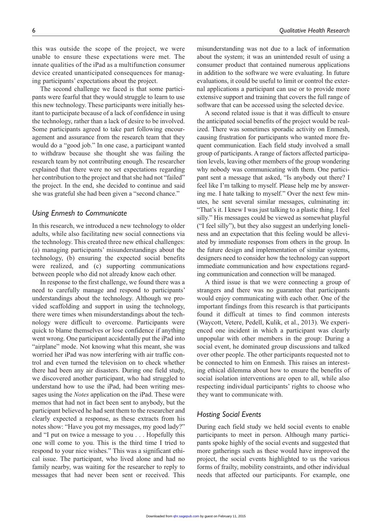this was outside the scope of the project, we were unable to ensure these expectations were met. The innate qualities of the iPad as a multifunction consumer device created unanticipated consequences for managing participants' expectations about the project.

The second challenge we faced is that some participants were fearful that they would struggle to learn to use this new technology. These participants were initially hesitant to participate because of a lack of confidence in using the technology, rather than a lack of desire to be involved. Some participants agreed to take part following encouragement and assurance from the research team that they would do a "good job." In one case, a participant wanted to withdraw because she thought she was failing the research team by not contributing enough. The researcher explained that there were no set expectations regarding her contribution to the project and that she had not "failed" the project. In the end, she decided to continue and said she was grateful she had been given a "second chance."

### *Using Enmesh to Communicate*

In this research, we introduced a new technology to older adults, while also facilitating new social connections via the technology. This created three new ethical challenges: (a) managing participants' misunderstandings about the technology, (b) ensuring the expected social benefits were realized, and (c) supporting communications between people who did not already know each other.

In response to the first challenge, we found there was a need to carefully manage and respond to participants' understandings about the technology. Although we provided scaffolding and support in using the technology, there were times when misunderstandings about the technology were difficult to overcome. Participants were quick to blame themselves or lose confidence if anything went wrong. One participant accidentally put the iPad into "airplane" mode. Not knowing what this meant, she was worried her iPad was now interfering with air traffic control and even turned the television on to check whether there had been any air disasters. During one field study, we discovered another participant, who had struggled to understand how to use the iPad, had been writing messages using the *Notes* application on the iPad. These were memos that had not in fact been sent to anybody, but the participant believed he had sent them to the researcher and clearly expected a response, as these extracts from his notes show: "Have you got my messages, my good lady?" and "I put on twice a message to you . . . Hopefully this one will come to you. This is the third time I tried to respond to your nice wishes." This was a significant ethical issue. The participant, who lived alone and had no family nearby, was waiting for the researcher to reply to messages that had never been sent or received. This misunderstanding was not due to a lack of information about the system; it was an unintended result of using a consumer product that contained numerous applications in addition to the software we were evaluating. In future evaluations, it could be useful to limit or control the external applications a participant can use or to provide more extensive support and training that covers the full range of software that can be accessed using the selected device.

A second related issue is that it was difficult to ensure the anticipated social benefits of the project would be realized. There was sometimes sporadic activity on Enmesh, causing frustration for participants who wanted more frequent communication. Each field study involved a small group of participants. A range of factors affected participation levels, leaving other members of the group wondering why nobody was communicating with them. One participant sent a message that asked, "Is anybody out there? I feel like I'm talking to myself. Please help me by answering me. I hate talking to myself." Over the next few minutes, he sent several similar messages, culminating in: "That's it. I knew I was just talking to a plastic thing. I feel silly." His messages could be viewed as somewhat playful ("I feel silly"), but they also suggest an underlying loneliness and an expectation that this feeling would be alleviated by immediate responses from others in the group. In the future design and implementation of similar systems, designers need to consider how the technology can support immediate communication and how expectations regarding communication and connection will be managed.

A third issue is that we were connecting a group of strangers and there was no guarantee that participants would enjoy communicating with each other. One of the important findings from this research is that participants found it difficult at times to find common interests (Waycott, Vetere, Pedell, Kulik, et al., 2013). We experienced one incident in which a participant was clearly unpopular with other members in the group: During a social event, he dominated group discussions and talked over other people. The other participants requested not to be connected to him on Enmesh. This raises an interesting ethical dilemma about how to ensure the benefits of social isolation interventions are open to all, while also respecting individual participants' rights to choose who they want to communicate with.

### *Hosting Social Events*

During each field study we held social events to enable participants to meet in person. Although many participants spoke highly of the social events and suggested that more gatherings such as these would have improved the project, the social events highlighted to us the various forms of frailty, mobility constraints, and other individual needs that affected our participants. For example, one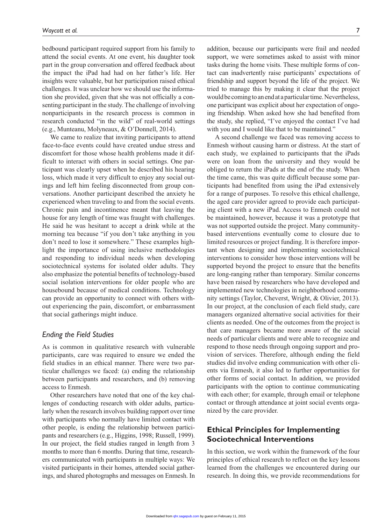bedbound participant required support from his family to attend the social events. At one event, his daughter took part in the group conversation and offered feedback about the impact the iPad had had on her father's life. Her insights were valuable, but her participation raised ethical challenges. It was unclear how we should use the information she provided, given that she was not officially a consenting participant in the study. The challenge of involving nonparticipants in the research process is common in research conducted "in the wild" of real-world settings (e.g., Munteanu, Molyneaux, & O'Donnell, 2014).

We came to realize that inviting participants to attend face-to-face events could have created undue stress and discomfort for those whose health problems made it difficult to interact with others in social settings. One participant was clearly upset when he described his hearing loss, which made it very difficult to enjoy any social outings and left him feeling disconnected from group conversations. Another participant described the anxiety he experienced when traveling to and from the social events. Chronic pain and incontinence meant that leaving the house for any length of time was fraught with challenges. He said he was hesitant to accept a drink while at the morning tea because "if you don't take anything in you don't need to lose it somewhere." These examples highlight the importance of using inclusive methodologies and responding to individual needs when developing sociotechnical systems for isolated older adults. They also emphasize the potential benefits of technology-based social isolation interventions for older people who are housebound because of medical conditions. Technology can provide an opportunity to connect with others without experiencing the pain, discomfort, or embarrassment that social gatherings might induce.

### *Ending the Field Studies*

As is common in qualitative research with vulnerable participants, care was required to ensure we ended the field studies in an ethical manner. There were two particular challenges we faced: (a) ending the relationship between participants and researchers, and (b) removing access to Enmesh.

Other researchers have noted that one of the key challenges of conducting research with older adults, particularly when the research involves building rapport over time with participants who normally have limited contact with other people, is ending the relationship between participants and researchers (e.g., Higgins, 1998; Russell, 1999). In our project, the field studies ranged in length from 3 months to more than 6 months. During that time, researchers communicated with participants in multiple ways: We visited participants in their homes, attended social gatherings, and shared photographs and messages on Enmesh. In addition, because our participants were frail and needed support, we were sometimes asked to assist with minor tasks during the home visits. These multiple forms of contact can inadvertently raise participants' expectations of friendship and support beyond the life of the project. We tried to manage this by making it clear that the project would be coming to an end at a particular time. Nevertheless, one participant was explicit about her expectation of ongoing friendship. When asked how she had benefited from the study, she replied, "I've enjoyed the contact I've had with you and I would like that to be maintained."

A second challenge we faced was removing access to Enmesh without causing harm or distress. At the start of each study, we explained to participants that the iPads were on loan from the university and they would be obliged to return the iPads at the end of the study. When the time came, this was quite difficult because some participants had benefited from using the iPad extensively for a range of purposes. To resolve this ethical challenge, the aged care provider agreed to provide each participating client with a new iPad. Access to Enmesh could not be maintained, however, because it was a prototype that was not supported outside the project. Many communitybased interventions eventually come to closure due to limited resources or project funding. It is therefore important when designing and implementing sociotechnical interventions to consider how those interventions will be supported beyond the project to ensure that the benefits are long-ranging rather than temporary. Similar concerns have been raised by researchers who have developed and implemented new technologies in neighborhood community settings (Taylor, Cheverst, Wright, & Olivier, 2013). In our project, at the conclusion of each field study, care managers organized alternative social activities for their clients as needed. One of the outcomes from the project is that care managers became more aware of the social needs of particular clients and were able to recognize and respond to those needs through ongoing support and provision of services. Therefore, although ending the field studies did involve ending communication with other clients via Enmesh, it also led to further opportunities for other forms of social contact. In addition, we provided participants with the option to continue communicating with each other; for example, through email or telephone contact or through attendance at joint social events organized by the care provider.

# **Ethical Principles for Implementing Sociotechnical Interventions**

In this section, we work within the framework of the four principles of ethical research to reflect on the key lessons learned from the challenges we encountered during our research. In doing this, we provide recommendations for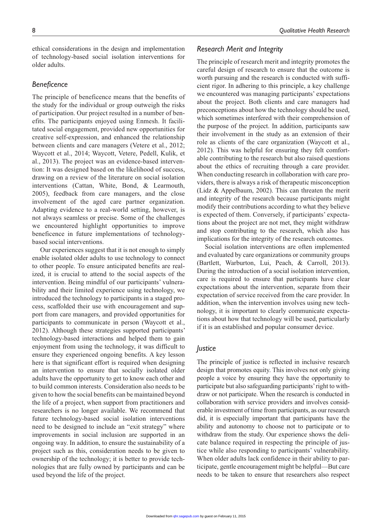ethical considerations in the design and implementation of technology-based social isolation interventions for older adults.

### *Beneficence*

The principle of beneficence means that the benefits of the study for the individual or group outweigh the risks of participation. Our project resulted in a number of benefits. The participants enjoyed using Enmesh. It facilitated social engagement, provided new opportunities for creative self-expression, and enhanced the relationship between clients and care managers (Vetere et al., 2012; Waycott et al., 2014; Waycott, Vetere, Pedell, Kulik, et al., 2013). The project was an evidence-based intervention: It was designed based on the likelihood of success, drawing on a review of the literature on social isolation interventions (Cattan, White, Bond, & Learmouth, 2005), feedback from care managers, and the close involvement of the aged care partner organization. Adapting evidence to a real-world setting, however, is not always seamless or precise. Some of the challenges we encountered highlight opportunities to improve beneficence in future implementations of technologybased social interventions.

Our experiences suggest that it is not enough to simply enable isolated older adults to use technology to connect to other people. To ensure anticipated benefits are realized, it is crucial to attend to the social aspects of the intervention. Being mindful of our participants' vulnerability and their limited experience using technology, we introduced the technology to participants in a staged process, scaffolded their use with encouragement and support from care managers, and provided opportunities for participants to communicate in person (Waycott et al., 2012). Although these strategies supported participants' technology-based interactions and helped them to gain enjoyment from using the technology, it was difficult to ensure they experienced ongoing benefits. A key lesson here is that significant effort is required when designing an intervention to ensure that socially isolated older adults have the opportunity to get to know each other and to build common interests. Consideration also needs to be given to how the social benefits can be maintained beyond the life of a project, when support from practitioners and researchers is no longer available. We recommend that future technology-based social isolation interventions need to be designed to include an "exit strategy" where improvements in social inclusion are supported in an ongoing way. In addition, to ensure the sustainability of a project such as this, consideration needs to be given to ownership of the technology; it is better to provide technologies that are fully owned by participants and can be used beyond the life of the project.

### *Research Merit and Integrity*

The principle of research merit and integrity promotes the careful design of research to ensure that the outcome is worth pursuing and the research is conducted with sufficient rigor. In adhering to this principle, a key challenge we encountered was managing participants' expectations about the project. Both clients and care managers had preconceptions about how the technology should be used, which sometimes interfered with their comprehension of the purpose of the project. In addition, participants saw their involvement in the study as an extension of their role as clients of the care organization (Waycott et al., 2012). This was helpful for ensuring they felt comfortable contributing to the research but also raised questions about the ethics of recruiting through a care provider. When conducting research in collaboration with care providers, there is always a risk of therapeutic misconception (Lidz & Appelbaum, 2002). This can threaten the merit and integrity of the research because participants might modify their contributions according to what they believe is expected of them. Conversely, if participants' expectations about the project are not met, they might withdraw and stop contributing to the research, which also has implications for the integrity of the research outcomes.

Social isolation interventions are often implemented and evaluated by care organizations or community groups (Bartlett, Warburton, Lui, Peach, & Carroll, 2013). During the introduction of a social isolation intervention, care is required to ensure that participants have clear expectations about the intervention, separate from their expectation of service received from the care provider. In addition, when the intervention involves using new technology, it is important to clearly communicate expectations about how that technology will be used, particularly if it is an established and popular consumer device.

### *Justice*

The principle of justice is reflected in inclusive research design that promotes equity. This involves not only giving people a voice by ensuring they have the opportunity to participate but also safeguarding participants' right to withdraw or not participate. When the research is conducted in collaboration with service providers and involves considerable investment of time from participants, as our research did, it is especially important that participants have the ability and autonomy to choose not to participate or to withdraw from the study. Our experience shows the delicate balance required in respecting the principle of justice while also responding to participants' vulnerability. When older adults lack confidence in their ability to participate, gentle encouragement might be helpful—But care needs to be taken to ensure that researchers also respect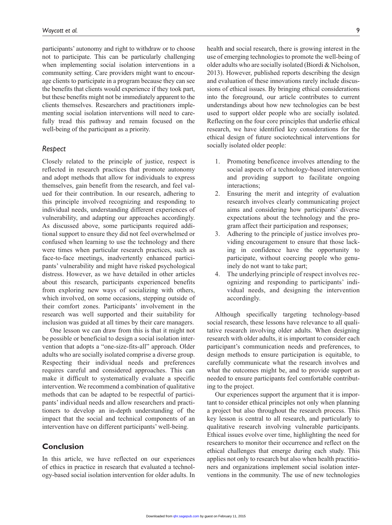participants' autonomy and right to withdraw or to choose not to participate. This can be particularly challenging when implementing social isolation interventions in a community setting. Care providers might want to encourage clients to participate in a program because they can see the benefits that clients would experience if they took part, but these benefits might not be immediately apparent to the clients themselves. Researchers and practitioners implementing social isolation interventions will need to carefully tread this pathway and remain focused on the well-being of the participant as a priority.

### *Respect*

Closely related to the principle of justice, respect is reflected in research practices that promote autonomy and adopt methods that allow for individuals to express themselves, gain benefit from the research, and feel valued for their contribution. In our research, adhering to this principle involved recognizing and responding to individual needs, understanding different experiences of vulnerability, and adapting our approaches accordingly. As discussed above, some participants required additional support to ensure they did not feel overwhelmed or confused when learning to use the technology and there were times when particular research practices, such as face-to-face meetings, inadvertently enhanced participants' vulnerability and might have risked psychological distress. However, as we have detailed in other articles about this research, participants experienced benefits from exploring new ways of socializing with others, which involved, on some occasions, stepping outside of their comfort zones. Participants' involvement in the research was well supported and their suitability for inclusion was guided at all times by their care managers.

One lesson we can draw from this is that it might not be possible or beneficial to design a social isolation intervention that adopts a "one-size-fits-all" approach. Older adults who are socially isolated comprise a diverse group. Respecting their individual needs and preferences requires careful and considered approaches. This can make it difficult to systematically evaluate a specific intervention. We recommend a combination of qualitative methods that can be adapted to be respectful of participants' individual needs and allow researchers and practitioners to develop an in-depth understanding of the impact that the social and technical components of an intervention have on different participants' well-being.

# **Conclusion**

In this article, we have reflected on our experiences of ethics in practice in research that evaluated a technology-based social isolation intervention for older adults. In health and social research, there is growing interest in the use of emerging technologies to promote the well-being of older adults who are socially isolated (Biordi & Nicholson, 2013). However, published reports describing the design and evaluation of these innovations rarely include discussions of ethical issues. By bringing ethical considerations into the foreground, our article contributes to current understandings about how new technologies can be best used to support older people who are socially isolated. Reflecting on the four core principles that underlie ethical research, we have identified key considerations for the ethical design of future sociotechnical interventions for socially isolated older people:

- 1. Promoting beneficence involves attending to the social aspects of a technology-based intervention and providing support to facilitate ongoing interactions;
- 2. Ensuring the merit and integrity of evaluation research involves clearly communicating project aims and considering how participants' diverse expectations about the technology and the program affect their participation and responses;
- 3. Adhering to the principle of justice involves providing encouragement to ensure that those lacking in confidence have the opportunity to participate, without coercing people who genuinely do not want to take part;
- 4. The underlying principle of respect involves recognizing and responding to participants' individual needs, and designing the intervention accordingly.

Although specifically targeting technology-based social research, these lessons have relevance to all qualitative research involving older adults. When designing research with older adults, it is important to consider each participant's communication needs and preferences, to design methods to ensure participation is equitable, to carefully communicate what the research involves and what the outcomes might be, and to provide support as needed to ensure participants feel comfortable contributing to the project.

Our experiences support the argument that it is important to consider ethical principles not only when planning a project but also throughout the research process. This key lesson is central to all research, and particularly to qualitative research involving vulnerable participants. Ethical issues evolve over time, highlighting the need for researchers to monitor their occurrence and reflect on the ethical challenges that emerge during each study. This applies not only to research but also when health practitioners and organizations implement social isolation interventions in the community. The use of new technologies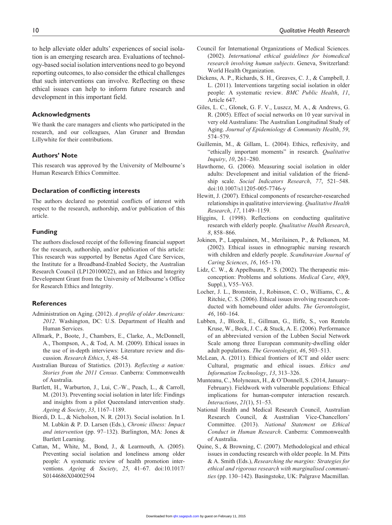to help alleviate older adults' experiences of social isolation is an emerging research area. Evaluations of technology-based social isolation interventions need to go beyond reporting outcomes, to also consider the ethical challenges that such interventions can involve. Reflecting on these ethical issues can help to inform future research and development in this important field.

### **Acknowledgments**

We thank the care managers and clients who participated in the research, and our colleagues, Alan Gruner and Brendan Lillywhite for their contributions.

### **Authors' Note**

This research was approved by the University of Melbourne's Human Research Ethics Committee.

### **Declaration of conflicting interests**

The authors declared no potential conflicts of interest with respect to the research, authorship, and/or publication of this article.

### **Funding**

The authors disclosed receipt of the following financial support for the research, authorship, and/or publication of this article: This research was supported by Benetas Aged Care Services, the Institute for a Broadband-Enabled Society, the Australian Research Council (LP120100022), and an Ethics and Integrity Development Grant from the University of Melbourne's Office for Research Ethics and Integrity.

#### **References**

- Administration on Aging. (2012). *A profile of older Americans: 2012*. Washington, DC: U.S. Department of Health and Human Services.
- Allmark, P., Boote, J., Chambers, E., Clarke, A., McDonnell, A., Thompson, A., & Tod, A. M. (2009). Ethical issues in the use of in-depth interviews: Literature review and discussion. *Research Ethics*, *5*, 48–54.
- Australian Bureau of Statistics. (2013). *Reflecting a nation: Stories from the 2011 Census*. Canberra: Commonwealth of Australia.
- Bartlett, H., Warburton, J., Lui, C.-W., Peach, L., & Carroll, M. (2013). Preventing social isolation in later life: Findings and insights from a pilot Queensland intervention study. *Ageing & Society*, *33*, 1167–1189.
- Biordi, D. L., & Nicholson, N. R. (2013). Social isolation. In I. M. Lubkin & P. D. Larsen (Eds.), *Chronic illness: Impact and intervention* (pp. 97–132). Burlington, MA: Jones & Bartlett Learning.
- Cattan, M., White, M., Bond, J., & Learmouth, A. (2005). Preventing social isolation and loneliness among older people: A systematic review of health promotion interventions. *Ageing & Society*, *25*, 41–67. doi:10.1017/ S0144686X04002594
- Council for International Organizations of Medical Sciences. (2002). *International ethical guidelines for biomedical research involving human subjects*. Geneva, Switzerland: World Health Organization.
- Dickens, A. P., Richards, S. H., Greaves, C. J., & Campbell, J. L. (2011). Interventions targeting social isolation in older people: A systematic review. *BMC Public Health*, *11*, Article 647.
- Giles, L. C., Glonek, G. F. V., Luszcz, M. A., & Andrews, G. R. (2005). Effect of social networks on 10 year survival in very old Australians: The Australian Longitudinal Study of Aging. *Journal of Epidemiology & Community Health*, *59*, 574–579.
- Guillemin, M., & Gillam, L. (2004). Ethics, reflexivity, and "ethically important moments" in research. *Qualitative Inquiry*, *10*, 261–280.
- Hawthorne, G. (2006). Measuring social isolation in older adults: Development and initial validation of the friendship scale. *Social Indicators Research*, *77*, 521–548. doi:10.1007/s11205-005-7746-y
- Hewitt, J. (2007). Ethical components of researcher-researched relationships in qualitative interviewing. *Qualitative Health Research*, *17*, 1149–1159.
- Higgins, I. (1998). Reflections on conducting qualitative research with elderly people. *Qualitative Health Research*, *8*, 858–866.
- Jokinen, P., Lappalainen, M., Merilainen, P., & Pelkonen, M. (2002). Ethical issues in ethnographic nursing research with children and elderly people. *Scandinavian Journal of Caring Sciences*, *16*, 165–170.
- Lidz, C. W., & Appelbaum, P. S. (2002). The therapeutic misconception: Problems and solutions. *Medical Care*, *40*(9, Suppl.), V55–V63.
- Locher, J. L., Bronstein, J., Robinson, C. O., Williams, C., & Ritchie, C. S. (2006). Ethical issues involving research conducted with homebound older adults. *The Gerontologist*, *46*, 160–164.
- Lubben, J., Blozik, E., Gillman, G., Iliffe, S., von Renteln Kruse, W., Beck, J. C., & Stuck, A. E. (2006). Performance of an abbreviated version of the Lubben Social Network Scale among three European community-dwelling older adult populations. *The Gerontologist*, *46*, 503–513.
- McLean, A. (2011). Ethical frontiers of ICT and older users: Cultural, pragmatic and ethical issues. *Ethics and Information Technology*, *13*, 313–326.
- Munteanu, C., Molyneaux, H., & O'Donnell, S. (2014, January– February). Fieldwork with vulnerable populations: Ethical implications for human-computer interaction research. *Interactions*, *21*(1), 51–53.
- National Health and Medical Research Council, Australian Research Council, & Australian Vice-Chancellors' Committee. (2013). *National Statement on Ethical Conduct in Human Research*. Canberra: Commonwealth of Australia.
- Quine, S., & Browning, C. (2007). Methodological and ethical issues in conducting research with older people. In M. Pitts & A. Smith (Eds.), *Researching the margins: Strategies for ethical and rigorous research with marginalised communities* (pp. 130–142). Basingstoke, UK: Palgrave Macmillan.